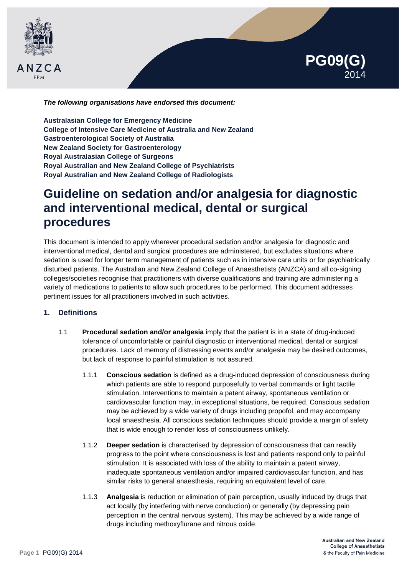



*The following organisations have endorsed this document:*

**Australasian College for Emergency Medicine College of Intensive Care Medicine of Australia and New Zealand Gastroenterological Society of Australia New Zealand Society for Gastroenterology Royal Australasian College of Surgeons Royal Australian and New Zealand College of Psychiatrists Royal Australian and New Zealand College of Radiologists**

# **Guideline on sedation and/or analgesia for diagnostic and interventional medical, dental or surgical procedures**

This document is intended to apply wherever procedural sedation and/or analgesia for diagnostic and interventional medical, dental and surgical procedures are administered, but excludes situations where sedation is used for longer term management of patients such as in intensive care units or for psychiatrically disturbed patients. The Australian and New Zealand College of Anaesthetists (ANZCA) and all co-signing colleges/societies recognise that practitioners with diverse qualifications and training are administering a variety of medications to patients to allow such procedures to be performed. This document addresses pertinent issues for all practitioners involved in such activities.

## **1. Definitions**

- 1.1 **Procedural sedation and/or analgesia** imply that the patient is in a state of drug-induced tolerance of uncomfortable or painful diagnostic or interventional medical, dental or surgical procedures. Lack of memory of distressing events and/or analgesia may be desired outcomes, but lack of response to painful stimulation is not assured.
	- 1.1.1 **Conscious sedation** is defined as a drug-induced depression of consciousness during which patients are able to respond purposefully to verbal commands or light tactile stimulation. Interventions to maintain a patent airway, spontaneous ventilation or cardiovascular function may, in exceptional situations, be required. Conscious sedation may be achieved by a wide variety of drugs including propofol, and may accompany local anaesthesia. All conscious sedation techniques should provide a margin of safety that is wide enough to render loss of consciousness unlikely.
	- 1.1.2 **Deeper sedation** is characterised by depression of consciousness that can readily progress to the point where consciousness is lost and patients respond only to painful stimulation. It is associated with loss of the ability to maintain a patent airway, inadequate spontaneous ventilation and/or impaired cardiovascular function, and has similar risks to general anaesthesia, requiring an equivalent level of care.
	- 1.1.3 **Analgesia** is reduction or elimination of pain perception, usually induced by drugs that act locally (by interfering with nerve conduction) or generally (by depressing pain perception in the central nervous system). This may be achieved by a wide range of drugs including methoxyflurane and nitrous oxide.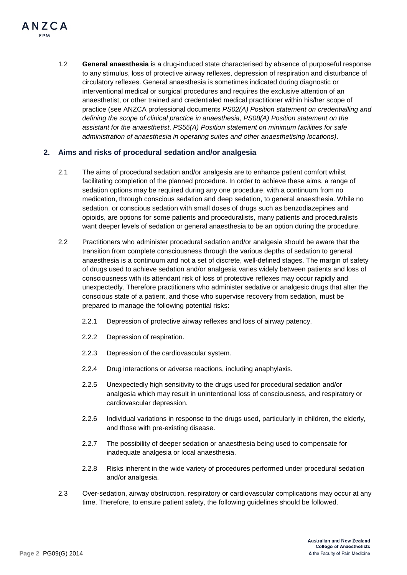

1.2 **General anaesthesia** is a drug-induced state characterised by absence of purposeful response to any stimulus, loss of protective airway reflexes, depression of respiration and disturbance of circulatory reflexes. General anaesthesia is sometimes indicated during diagnostic or interventional medical or surgical procedures and requires the exclusive attention of an anaesthetist, or other trained and credentialed medical practitioner within his/her scope of practice (see ANZCA professional documents *PS02(A) Position statement on credentialling and defining the scope of clinical practice in anaesthesia*, *PS08(A) Position statement on the assistant for the anaesthetist*, *PS55(A) Position statement on minimum facilities for safe administration of anaesthesia in operating suites and other anaesthetising locations)*.

## **2. Aims and risks of procedural sedation and/or analgesia**

- 2.1 The aims of procedural sedation and/or analgesia are to enhance patient comfort whilst facilitating completion of the planned procedure. In order to achieve these aims, a range of sedation options may be required during any one procedure, with a continuum from no medication, through conscious sedation and deep sedation, to general anaesthesia. While no sedation, or conscious sedation with small doses of drugs such as benzodiazepines and opioids, are options for some patients and proceduralists, many patients and proceduralists want deeper levels of sedation or general anaesthesia to be an option during the procedure.
- 2.2 Practitioners who administer procedural sedation and/or analgesia should be aware that the transition from complete consciousness through the various depths of sedation to general anaesthesia is a continuum and not a set of discrete, well-defined stages. The margin of safety of drugs used to achieve sedation and/or analgesia varies widely between patients and loss of consciousness with its attendant risk of loss of protective reflexes may occur rapidly and unexpectedly. Therefore practitioners who administer sedative or analgesic drugs that alter the conscious state of a patient, and those who supervise recovery from sedation, must be prepared to manage the following potential risks:
	- 2.2.1 Depression of protective airway reflexes and loss of airway patency.
	- 2.2.2 Depression of respiration.
	- 2.2.3 Depression of the cardiovascular system.
	- 2.2.4 Drug interactions or adverse reactions, including anaphylaxis.
	- 2.2.5 Unexpectedly high sensitivity to the drugs used for procedural sedation and/or analgesia which may result in unintentional loss of consciousness, and respiratory or cardiovascular depression.
	- 2.2.6 Individual variations in response to the drugs used, particularly in children, the elderly, and those with pre-existing disease.
	- 2.2.7 The possibility of deeper sedation or anaesthesia being used to compensate for inadequate analgesia or local anaesthesia.
	- 2.2.8 Risks inherent in the wide variety of procedures performed under procedural sedation and/or analgesia.
- 2.3 Over-sedation, airway obstruction, respiratory or cardiovascular complications may occur at any time. Therefore, to ensure patient safety, the following guidelines should be followed.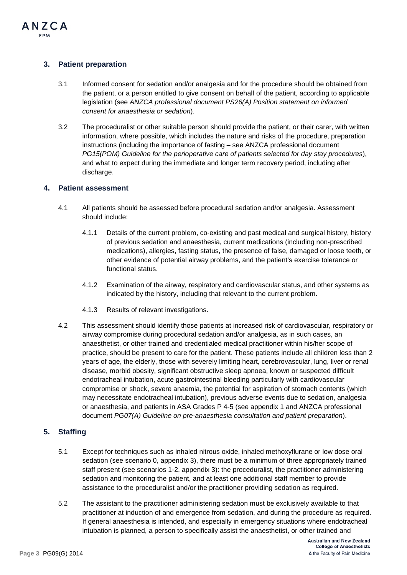

ANZCA

- 3.1 Informed consent for sedation and/or analgesia and for the procedure should be obtained from the patient, or a person entitled to give consent on behalf of the patient, according to applicable legislation (see *ANZCA professional document PS26(A) Position statement on informed consent for anaesthesia or sedation*).
- 3.2 The proceduralist or other suitable person should provide the patient, or their carer, with written information, where possible, which includes the nature and risks of the procedure, preparation instructions (including the importance of fasting – see ANZCA professional document *PG15(POM) Guideline for the perioperative care of patients selected for day stay procedures*), and what to expect during the immediate and longer term recovery period, including after discharge.

## **4. Patient assessment**

- 4.1 All patients should be assessed before procedural sedation and/or analgesia. Assessment should include:
	- 4.1.1 Details of the current problem, co-existing and past medical and surgical history, history of previous sedation and anaesthesia, current medications (including non-prescribed medications), allergies, fasting status, the presence of false, damaged or loose teeth, or other evidence of potential airway problems, and the patient's exercise tolerance or functional status.
	- 4.1.2 Examination of the airway, respiratory and cardiovascular status, and other systems as indicated by the history, including that relevant to the current problem.
	- 4.1.3 Results of relevant investigations.
- 4.2 This assessment should identify those patients at increased risk of cardiovascular, respiratory or airway compromise during procedural sedation and/or analgesia, as in such cases, an anaesthetist, or other trained and credentialed medical practitioner within his/her scope of practice, should be present to care for the patient. These patients include all children less than 2 years of age, the elderly, those with severely limiting heart, cerebrovascular, lung, liver or renal disease, morbid obesity, significant obstructive sleep apnoea, known or suspected difficult endotracheal intubation, acute gastrointestinal bleeding particularly with cardiovascular compromise or shock, severe anaemia, the potential for aspiration of stomach contents (which may necessitate endotracheal intubation), previous adverse events due to sedation, analgesia or anaesthesia, and patients in ASA Grades P 4-5 (see appendix 1 and ANZCA professional document *PG07(A) Guideline on pre-anaesthesia consultation and patient preparation*).

## **5. Staffing**

- 5.1 Except for techniques such as inhaled nitrous oxide, inhaled methoxyflurane or low dose oral sedation (see scenario 0, appendix 3), there must be a minimum of three appropriately trained staff present (see scenarios 1-2, appendix 3): the proceduralist, the practitioner administering sedation and monitoring the patient, and at least one additional staff member to provide assistance to the proceduralist and/or the practitioner providing sedation as required.
- 5.2 The assistant to the practitioner administering sedation must be exclusively available to that practitioner at induction of and emergence from sedation, and during the procedure as required. If general anaesthesia is intended, and especially in emergency situations where endotracheal intubation is planned, a person to specifically assist the anaesthetist, or other trained and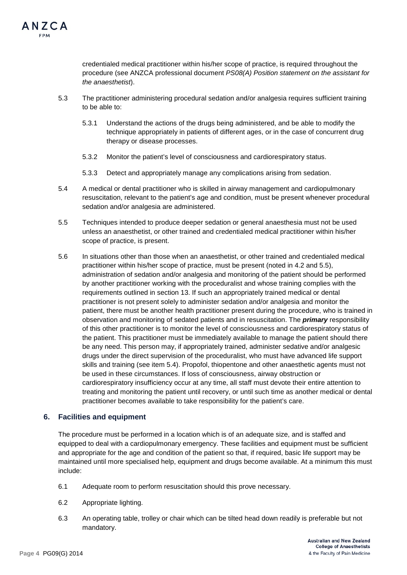

credentialed medical practitioner within his/her scope of practice, is required throughout the procedure (see ANZCA professional document *PS08(A) Position statement on the assistant for the anaesthetist*).

- 5.3 The practitioner administering procedural sedation and/or analgesia requires sufficient training to be able to:
	- 5.3.1 Understand the actions of the drugs being administered, and be able to modify the technique appropriately in patients of different ages, or in the case of concurrent drug therapy or disease processes.
	- 5.3.2 Monitor the patient's level of consciousness and cardiorespiratory status.
	- 5.3.3 Detect and appropriately manage any complications arising from sedation.
- 5.4 A medical or dental practitioner who is skilled in airway management and cardiopulmonary resuscitation, relevant to the patient's age and condition, must be present whenever procedural sedation and/or analgesia are administered.
- 5.5 Techniques intended to produce deeper sedation or general anaesthesia must not be used unless an anaesthetist, or other trained and credentialed medical practitioner within his/her scope of practice, is present.
- 5.6 In situations other than those when an anaesthetist, or other trained and credentialed medical practitioner within his/her scope of practice, must be present (noted in 4.2 and 5.5), administration of sedation and/or analgesia and monitoring of the patient should be performed by another practitioner working with the proceduralist and whose training complies with the requirements outlined in section 13. If such an appropriately trained medical or dental practitioner is not present solely to administer sedation and/or analgesia and monitor the patient, there must be another health practitioner present during the procedure, who is trained in observation and monitoring of sedated patients and in resuscitation. The *primary* responsibility of this other practitioner is to monitor the level of consciousness and cardiorespiratory status of the patient. This practitioner must be immediately available to manage the patient should there be any need. This person may, if appropriately trained, administer sedative and/or analgesic drugs under the direct supervision of the proceduralist, who must have advanced life support skills and training (see item 5.4). Propofol, thiopentone and other anaesthetic agents must not be used in these circumstances. If loss of consciousness, airway obstruction or cardiorespiratory insufficiency occur at any time, all staff must devote their entire attention to treating and monitoring the patient until recovery, or until such time as another medical or dental practitioner becomes available to take responsibility for the patient's care.

## **6. Facilities and equipment**

The procedure must be performed in a location which is of an adequate size, and is staffed and equipped to deal with a cardiopulmonary emergency. These facilities and equipment must be sufficient and appropriate for the age and condition of the patient so that, if required, basic life support may be maintained until more specialised help, equipment and drugs become available. At a minimum this must include:

- 6.1 Adequate room to perform resuscitation should this prove necessary.
- 6.2 Appropriate lighting.
- 6.3 An operating table, trolley or chair which can be tilted head down readily is preferable but not mandatory.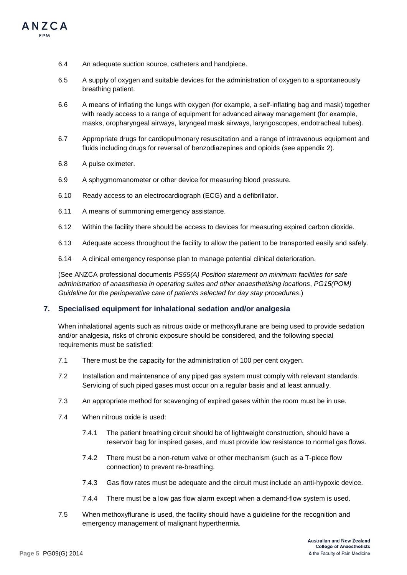

- 6.4 An adequate suction source, catheters and handpiece.
- 6.5 A supply of oxygen and suitable devices for the administration of oxygen to a spontaneously breathing patient.
- 6.6 A means of inflating the lungs with oxygen (for example, a self-inflating bag and mask) together with ready access to a range of equipment for advanced airway management (for example, masks, oropharyngeal airways, laryngeal mask airways, laryngoscopes, endotracheal tubes).
- 6.7 Appropriate drugs for cardiopulmonary resuscitation and a range of intravenous equipment and fluids including drugs for reversal of benzodiazepines and opioids (see appendix 2).
- 6.8 A pulse oximeter.
- 6.9 A sphygmomanometer or other device for measuring blood pressure.
- 6.10 Ready access to an electrocardiograph (ECG) and a defibrillator.
- 6.11 A means of summoning emergency assistance.
- 6.12 Within the facility there should be access to devices for measuring expired carbon dioxide.
- 6.13 Adequate access throughout the facility to allow the patient to be transported easily and safely.
- 6.14 A clinical emergency response plan to manage potential clinical deterioration.

(See ANZCA professional documents *PS55(A) Position statement on minimum facilities for safe administration of anaesthesia in operating suites and other anaesthetising locations*, *PG15(POM) Guideline for the perioperative care of patients selected for day stay procedures*.)

## **7. Specialised equipment for inhalational sedation and/or analgesia**

When inhalational agents such as nitrous oxide or methoxyflurane are being used to provide sedation and/or analgesia, risks of chronic exposure should be considered, and the following special requirements must be satisfied:

- 7.1 There must be the capacity for the administration of 100 per cent oxygen.
- 7.2 Installation and maintenance of any piped gas system must comply with relevant standards. Servicing of such piped gases must occur on a regular basis and at least annually.
- 7.3 An appropriate method for scavenging of expired gases within the room must be in use.
- 7.4 When nitrous oxide is used:
	- 7.4.1 The patient breathing circuit should be of lightweight construction, should have a reservoir bag for inspired gases, and must provide low resistance to normal gas flows.
	- 7.4.2 There must be a non-return valve or other mechanism (such as a T-piece flow connection) to prevent re-breathing.
	- 7.4.3 Gas flow rates must be adequate and the circuit must include an anti-hypoxic device.
	- 7.4.4 There must be a low gas flow alarm except when a demand-flow system is used.
- 7.5 When methoxyflurane is used, the facility should have a guideline for the recognition and emergency management of malignant hyperthermia.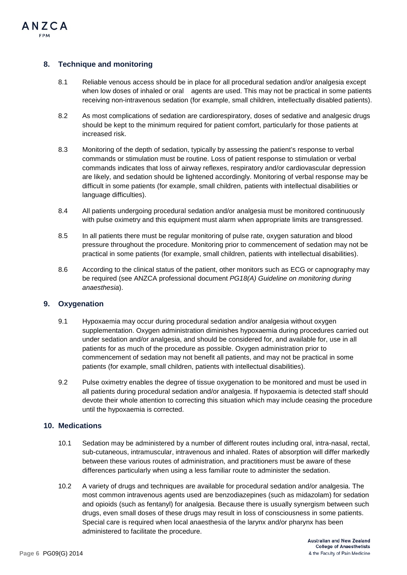

ANZCA

- 8.1 Reliable venous access should be in place for all procedural sedation and/or analgesia except when low doses of inhaled or oral agents are used. This may not be practical in some patients receiving non-intravenous sedation (for example, small children, intellectually disabled patients).
- 8.2 As most complications of sedation are cardiorespiratory, doses of sedative and analgesic drugs should be kept to the minimum required for patient comfort, particularly for those patients at increased risk.
- 8.3 Monitoring of the depth of sedation, typically by assessing the patient's response to verbal commands or stimulation must be routine. Loss of patient response to stimulation or verbal commands indicates that loss of airway reflexes, respiratory and/or cardiovascular depression are likely, and sedation should be lightened accordingly. Monitoring of verbal response may be difficult in some patients (for example, small children, patients with intellectual disabilities or language difficulties).
- 8.4 All patients undergoing procedural sedation and/or analgesia must be monitored continuously with pulse oximetry and this equipment must alarm when appropriate limits are transgressed.
- 8.5 In all patients there must be regular monitoring of pulse rate, oxygen saturation and blood pressure throughout the procedure. Monitoring prior to commencement of sedation may not be practical in some patients (for example, small children, patients with intellectual disabilities).
- 8.6 According to the clinical status of the patient, other monitors such as ECG or capnography may be required (see ANZCA professional document *PG18(A) Guideline on monitoring during anaesthesia*).

## **9. Oxygenation**

- 9.1 Hypoxaemia may occur during procedural sedation and/or analgesia without oxygen supplementation. Oxygen administration diminishes hypoxaemia during procedures carried out under sedation and/or analgesia, and should be considered for, and available for, use in all patients for as much of the procedure as possible. Oxygen administration prior to commencement of sedation may not benefit all patients, and may not be practical in some patients (for example, small children, patients with intellectual disabilities).
- 9.2 Pulse oximetry enables the degree of tissue oxygenation to be monitored and must be used in all patients during procedural sedation and/or analgesia. If hypoxaemia is detected staff should devote their whole attention to correcting this situation which may include ceasing the procedure until the hypoxaemia is corrected.

## **10. Medications**

- 10.1 Sedation may be administered by a number of different routes including oral, intra-nasal, rectal, sub-cutaneous, intramuscular, intravenous and inhaled. Rates of absorption will differ markedly between these various routes of administration, and practitioners must be aware of these differences particularly when using a less familiar route to administer the sedation.
- 10.2 A variety of drugs and techniques are available for procedural sedation and/or analgesia. The most common intravenous agents used are benzodiazepines (such as midazolam) for sedation and opioids (such as fentanyl) for analgesia. Because there is usually synergism between such drugs, even small doses of these drugs may result in loss of consciousness in some patients. Special care is required when local anaesthesia of the larynx and/or pharynx has been administered to facilitate the procedure.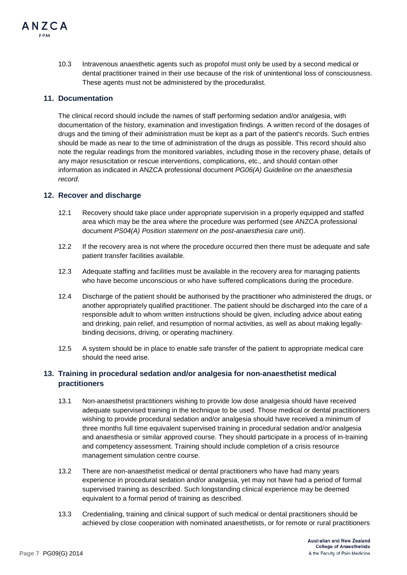10.3 Intravenous anaesthetic agents such as propofol must only be used by a second medical or dental practitioner trained in their use because of the risk of unintentional loss of consciousness. These agents must not be administered by the proceduralist.

## **11. Documentation**

The clinical record should include the names of staff performing sedation and/or analgesia, with documentation of the history, examination and investigation findings. A written record of the dosages of drugs and the timing of their administration must be kept as a part of the patient's records. Such entries should be made as near to the time of administration of the drugs as possible. This record should also note the regular readings from the monitored variables, including those in the recovery phase, details of any major resuscitation or rescue interventions, complications, etc., and should contain other information as indicated in ANZCA professional document *PG06(A) Guideline on the anaesthesia record*.

## **12. Recover and discharge**

- 12.1 Recovery should take place under appropriate supervision in a properly equipped and staffed area which may be the area where the procedure was performed (see ANZCA professional document *PS04(A) Position statement on the post-anaesthesia care unit*).
- 12.2 If the recovery area is not where the procedure occurred then there must be adequate and safe patient transfer facilities available.
- 12.3 Adequate staffing and facilities must be available in the recovery area for managing patients who have become unconscious or who have suffered complications during the procedure.
- 12.4 Discharge of the patient should be authorised by the practitioner who administered the drugs, or another appropriately qualified practitioner. The patient should be discharged into the care of a responsible adult to whom written instructions should be given, including advice about eating and drinking, pain relief, and resumption of normal activities, as well as about making legallybinding decisions, driving, or operating machinery.
- 12.5 A system should be in place to enable safe transfer of the patient to appropriate medical care should the need arise.

# **13. Training in procedural sedation and/or analgesia for non-anaesthetist medical practitioners**

- 13.1 Non-anaesthetist practitioners wishing to provide low dose analgesia should have received adequate supervised training in the technique to be used. Those medical or dental practitioners wishing to provide procedural sedation and/or analgesia should have received a minimum of three months full time equivalent supervised training in procedural sedation and/or analgesia and anaesthesia or similar approved course. They should participate in a process of in-training and competency assessment. Training should include completion of a crisis resource management simulation centre course.
- 13.2 There are non-anaesthetist medical or dental practitioners who have had many years experience in procedural sedation and/or analgesia, yet may not have had a period of formal supervised training as described. Such longstanding clinical experience may be deemed equivalent to a formal period of training as described.
- 13.3 Credentialing, training and clinical support of such medical or dental practitioners should be achieved by close cooperation with nominated anaesthetists, or for remote or rural practitioners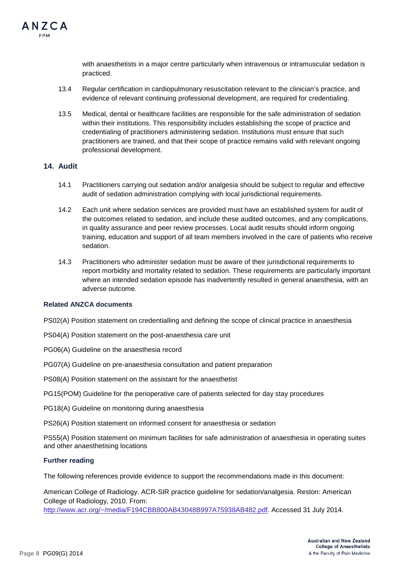

with anaesthetists in a major centre particularly when intravenous or intramuscular sedation is practiced.

- 13.4 Regular certification in cardiopulmonary resuscitation relevant to the clinician's practice, and evidence of relevant continuing professional development, are required for credentialing.
- 13.5 Medical, dental or healthcare facilities are responsible for the safe administration of sedation within their institutions. This responsibility includes establishing the scope of practice and credentialing of practitioners administering sedation. Institutions must ensure that such practitioners are trained, and that their scope of practice remains valid with relevant ongoing professional development.

#### **14. Audit**

- 14.1 Practitioners carrying out sedation and/or analgesia should be subject to regular and effective audit of sedation administration complying with local jurisdictional requirements.
- 14.2 Each unit where sedation services are provided must have an established system for audit of the outcomes related to sedation, and include these audited outcomes, and any complications, in quality assurance and peer review processes. Local audit results should inform ongoing training, education and support of all team members involved in the care of patients who receive sedation.
- 14.3 Practitioners who administer sedation must be aware of their jurisdictional requirements to report morbidity and mortality related to sedation. These requirements are particularly important where an intended sedation episode has inadvertently resulted in general anaesthesia, with an adverse outcome.

#### **Related ANZCA documents**

PS02(A) Position statement on credentialling and defining the scope of clinical practice in anaesthesia

PS04(A) Position statement on the post-anaesthesia care unit

- PG06(A) Guideline on the anaesthesia record
- PG07(A) Guideline on pre-anaesthesia consultation and patient preparation
- PS08(A) Position statement on the assistant for the anaesthetist
- PG15(POM) Guideline for the perioperative care of patients selected for day stay procedures

PG18(A) Guideline on monitoring during anaesthesia

PS26(A) Position statement on informed consent for anaesthesia or sedation

PS55(A) Position statement on minimum facilities for safe administration of anaesthesia in operating suites and other anaesthetising locations

#### **Further reading**

The following references provide evidence to support the recommendations made in this document:

American College of Radiology. ACR-SIR practice guideline for sedation/analgesia. Reston: American College of Radiology, 2010. From: [http://www.acr.org/~/media/F194CBB800AB43048B997A75938AB482.pdf.](http://www.acr.org/%7E/media/F194CBB800AB43048B997A75938AB482.pdf) Accessed 31 July 2014.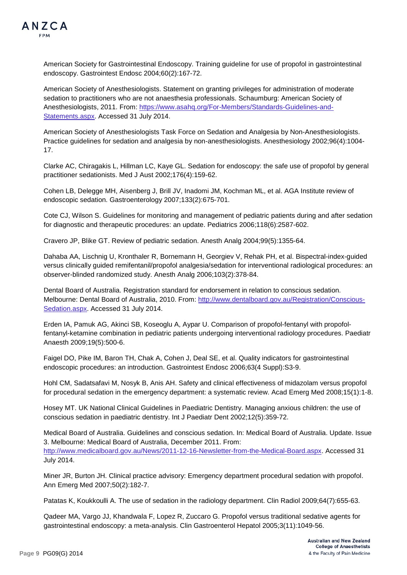

American Society for Gastrointestinal Endoscopy. Training guideline for use of propofol in gastrointestinal endoscopy. Gastrointest Endosc 2004;60(2):167-72.

American Society of Anesthesiologists. Statement on granting privileges for administration of moderate sedation to practitioners who are not anaesthesia professionals. Schaumburg: American Society of Anesthesiologists, 2011. From: [https://www.asahq.org/For-Members/Standards-Guidelines-and-](https://www.asahq.org/For-Members/Standards-Guidelines-and-Statements.aspx)[Statements.aspx.](https://www.asahq.org/For-Members/Standards-Guidelines-and-Statements.aspx) Accessed 31 July 2014.

American Society of Anesthesiologists Task Force on Sedation and Analgesia by Non-Anesthesiologists. Practice guidelines for sedation and analgesia by non-anesthesiologists. Anesthesiology 2002;96(4):1004- 17.

Clarke AC, Chiragakis L, Hillman LC, Kaye GL. Sedation for endoscopy: the safe use of propofol by general practitioner sedationists. Med J Aust 2002;176(4):159-62.

Cohen LB, Delegge MH, Aisenberg J, Brill JV, Inadomi JM, Kochman ML, et al. AGA Institute review of endoscopic sedation. Gastroenterology 2007;133(2):675-701.

Cote CJ, Wilson S. Guidelines for monitoring and management of pediatric patients during and after sedation for diagnostic and therapeutic procedures: an update. Pediatrics 2006;118(6):2587-602.

Cravero JP, Blike GT. Review of pediatric sedation. Anesth Analg 2004;99(5):1355-64.

Dahaba AA, Lischnig U, Kronthaler R, Bornemann H, Georgiev V, Rehak PH, et al. Bispectral-index-guided versus clinically guided remifentanil/propofol analgesia/sedation for interventional radiological procedures: an observer-blinded randomized study. Anesth Analg 2006;103(2):378-84.

Dental Board of Australia. Registration standard for endorsement in relation to conscious sedation. Melbourne: Dental Board of Australia, 2010. From: [http://www.dentalboard.gov.au/Registration/Conscious-](http://www.dentalboard.gov.au/Registration/Conscious-Sedation.aspx)[Sedation.aspx.](http://www.dentalboard.gov.au/Registration/Conscious-Sedation.aspx) Accessed 31 July 2014.

Erden IA, Pamuk AG, Akinci SB, Koseoglu A, Aypar U. Comparison of propofol-fentanyl with propofolfentanyl-ketamine combination in pediatric patients undergoing interventional radiology procedures. Paediatr Anaesth 2009;19(5):500-6.

Faigel DO, Pike IM, Baron TH, Chak A, Cohen J, Deal SE, et al. Quality indicators for gastrointestinal endoscopic procedures: an introduction. Gastrointest Endosc 2006;63(4 Suppl):S3-9.

Hohl CM, Sadatsafavi M, Nosyk B, Anis AH. Safety and clinical effectiveness of midazolam versus propofol for procedural sedation in the emergency department: a systematic review. Acad Emerg Med 2008;15(1):1-8.

Hosey MT. UK National Clinical Guidelines in Paediatric Dentistry. Managing anxious children: the use of conscious sedation in paediatric dentistry. Int J Paediatr Dent 2002;12(5):359-72.

Medical Board of Australia. Guidelines and conscious sedation. In: Medical Board of Australia. Update. Issue 3. Melbourne: Medical Board of Australia, December 2011. From: [http://www.medicalboard.gov.au/News/2011-12-16-Newsletter-from-the-Medical-Board.aspx.](http://www.medicalboard.gov.au/News/2011-12-16-Newsletter-from-the-Medical-Board.aspx) Accessed 31 July 2014.

Miner JR, Burton JH. Clinical practice advisory: Emergency department procedural sedation with propofol. Ann Emerg Med 2007;50(2):182-7.

Patatas K, Koukkoulli A. The use of sedation in the radiology department. Clin Radiol 2009;64(7):655-63.

Qadeer MA, Vargo JJ, Khandwala F, Lopez R, Zuccaro G. Propofol versus traditional sedative agents for gastrointestinal endoscopy: a meta-analysis. Clin Gastroenterol Hepatol 2005;3(11):1049-56.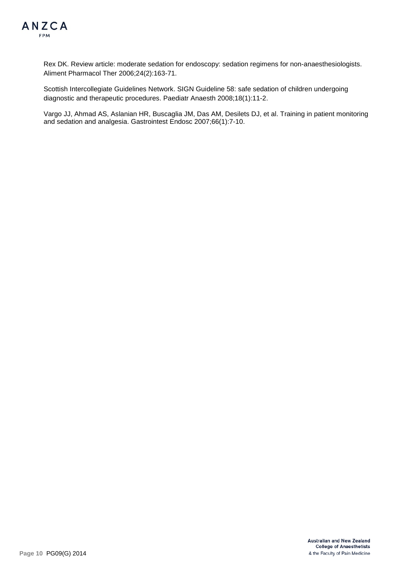

Rex DK. Review article: moderate sedation for endoscopy: sedation regimens for non-anaesthesiologists. Aliment Pharmacol Ther 2006;24(2):163-71.

Scottish Intercollegiate Guidelines Network. SIGN Guideline 58: safe sedation of children undergoing diagnostic and therapeutic procedures. Paediatr Anaesth 2008;18(1):11-2.

Vargo JJ, Ahmad AS, Aslanian HR, Buscaglia JM, Das AM, Desilets DJ, et al. Training in patient monitoring and sedation and analgesia. Gastrointest Endosc 2007;66(1):7-10.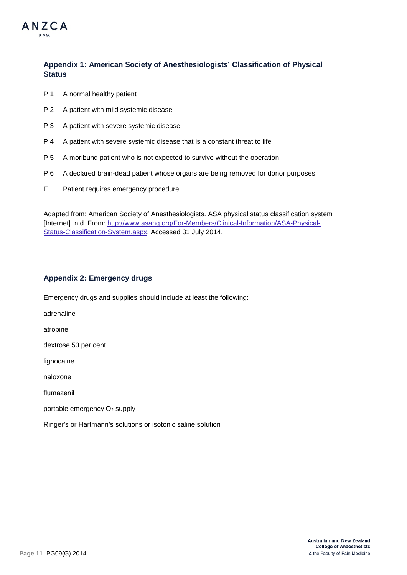

# **Appendix 1: American Society of Anesthesiologists' Classification of Physical Status**

- P 1 A normal healthy patient
- P 2 A patient with mild systemic disease
- P 3 A patient with severe systemic disease
- P 4 A patient with severe systemic disease that is a constant threat to life
- P 5 A moribund patient who is not expected to survive without the operation
- P 6 A declared brain-dead patient whose organs are being removed for donor purposes
- E Patient requires emergency procedure

Adapted from: American Society of Anesthesiologists. ASA physical status classification system [Internet]. n.d. From: [http://www.asahq.org/For-Members/Clinical-Information/ASA-Physical-](http://www.asahq.org/For-Members/Clinical-Information/ASA-Physical-Status-Classification-System.aspx)[Status-Classification-System.aspx.](http://www.asahq.org/For-Members/Clinical-Information/ASA-Physical-Status-Classification-System.aspx) Accessed 31 July 2014.

# **Appendix 2: Emergency drugs**

Emergency drugs and supplies should include at least the following:

adrenaline

atropine

dextrose 50 per cent

lignocaine

naloxone

flumazenil

portable emergency O2 supply

Ringer's or Hartmann's solutions or isotonic saline solution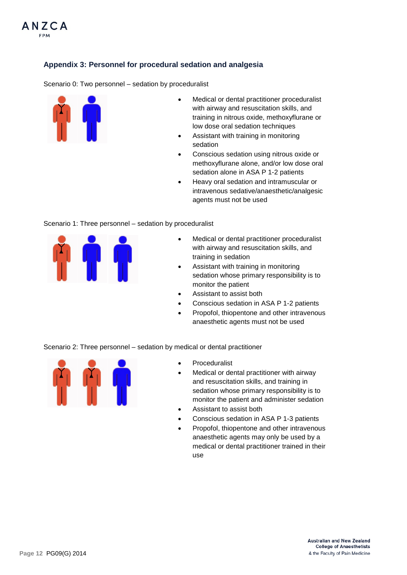

## **Appendix 3: Personnel for procedural sedation and analgesia**

Scenario 0: Two personnel – sedation by proceduralist



- Medical or dental practitioner proceduralist with airway and resuscitation skills, and training in nitrous oxide, methoxyflurane or low dose oral sedation techniques
- Assistant with training in monitoring sedation
- Conscious sedation using nitrous oxide or methoxyflurane alone, and/or low dose oral sedation alone in ASA P 1-2 patients
- Heavy oral sedation and intramuscular or intravenous sedative/anaesthetic/analgesic agents must not be used

#### Scenario 1: Three personnel – sedation by proceduralist



- Medical or dental practitioner proceduralist with airway and resuscitation skills, and training in sedation
- Assistant with training in monitoring sedation whose primary responsibility is to monitor the patient
- Assistant to assist both
- Conscious sedation in ASA P 1-2 patients
- Propofol, thiopentone and other intravenous anaesthetic agents must not be used

Scenario 2: Three personnel – sedation by medical or dental practitioner



- **Proceduralist**
- Medical or dental practitioner with airway and resuscitation skills, and training in sedation whose primary responsibility is to monitor the patient and administer sedation
- Assistant to assist both
- Conscious sedation in ASA P 1-3 patients
- Propofol, thiopentone and other intravenous anaesthetic agents may only be used by a medical or dental practitioner trained in their use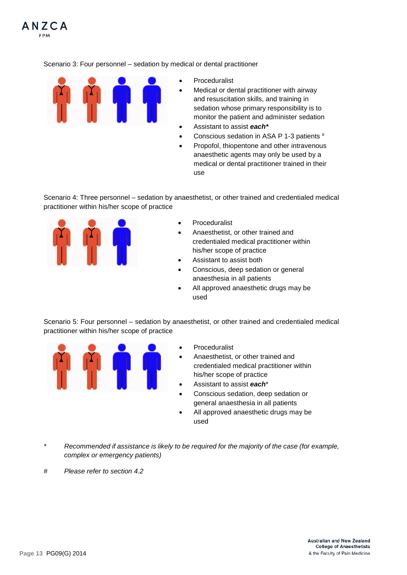Scenario 3: Four personnel – sedation by medical or dental practitioner



- **Proceduralist**
- Medical or dental practitioner with airway and resuscitation skills, and training in sedation whose primary responsibility is to monitor the patient and administer sedation
- Assistant to assist *each\**
- Conscious sedation in ASA P 1-3 patients #
- Propofol, thiopentone and other intravenous anaesthetic agents may only be used by a medical or dental practitioner trained in their use

Scenario 4: Three personnel – sedation by anaesthetist, or other trained and credentialed medical practitioner within his/her scope of practice



- Proceduralist
- Anaesthetist, or other trained and credentialed medical practitioner within his/her scope of practice
- Assistant to assist both
- Conscious, deep sedation or general anaesthesia in all patients
- All approved anaesthetic drugs may be used

Scenario 5: Four personnel – sedation by anaesthetist, or other trained and credentialed medical practitioner within his/her scope of practice



- **Proceduralist**
- Anaesthetist, or other trained and credentialed medical practitioner within his/her scope of practice
- Assistant to assist *each*\*
- Conscious sedation, deep sedation or general anaesthesia in all patients
- All approved anaesthetic drugs may be used
- *\* Recommended if assistance is likely to be required for the majority of the case (for example, complex or emergency patients)*
- *# Please refer to section 4.2*